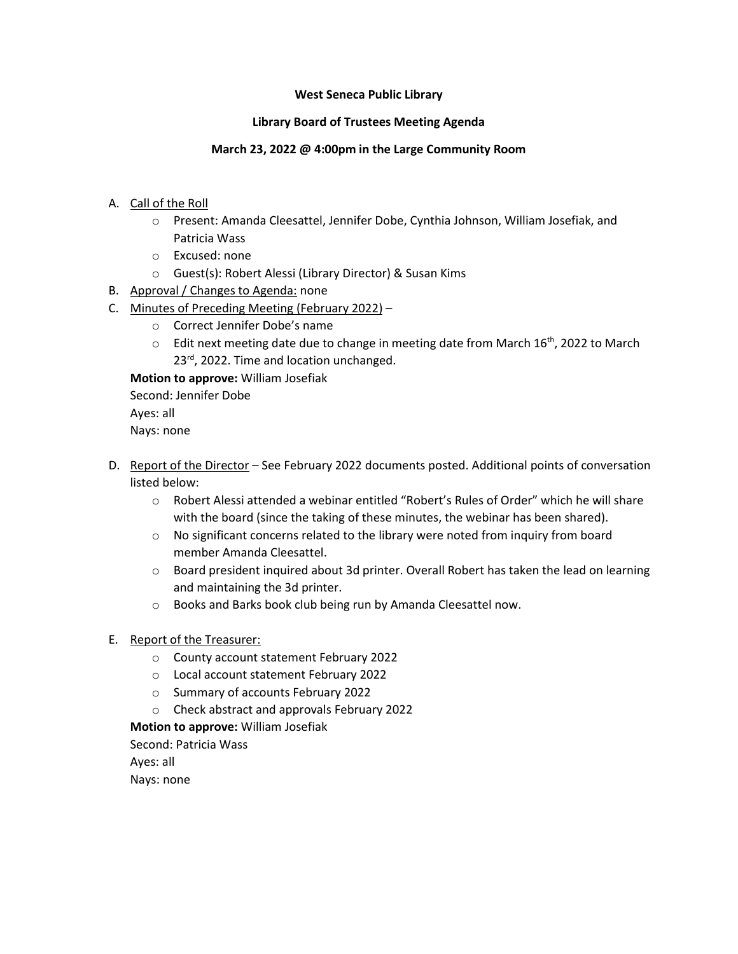#### **West Seneca Public Library**

## **Library Board of Trustees Meeting Agenda**

## **March 23, 2022 @ 4:00pm in the Large Community Room**

- A. Call of the Roll
	- o Present: Amanda Cleesattel, Jennifer Dobe, Cynthia Johnson, William Josefiak, and Patricia Wass
	- o Excused: none
	- o Guest(s): Robert Alessi (Library Director) & Susan Kims
- B. Approval / Changes to Agenda: none
- C. Minutes of Preceding Meeting (February 2022)
	- o Correct Jennifer Dobe's name
	- $\circ$  Edit next meeting date due to change in meeting date from March 16<sup>th</sup>, 2022 to March 23<sup>rd</sup>, 2022. Time and location unchanged.

**Motion to approve:** William Josefiak

Second: Jennifer Dobe

Ayes: all Nays: none

- D. Report of the Director See February 2022 documents posted. Additional points of conversation listed below:
	- o Robert Alessi attended a webinar entitled "Robert's Rules of Order" which he will share with the board (since the taking of these minutes, the webinar has been shared).
	- $\circ$  No significant concerns related to the library were noted from inquiry from board member Amanda Cleesattel.
	- o Board president inquired about 3d printer. Overall Robert has taken the lead on learning and maintaining the 3d printer.
	- o Books and Barks book club being run by Amanda Cleesattel now.

# E. Report of the Treasurer:

- o County account statement February 2022
- o Local account statement February 2022
- o Summary of accounts February 2022
- o Check abstract and approvals February 2022

# **Motion to approve:** William Josefiak

Second: Patricia Wass

Ayes: all

Nays: none